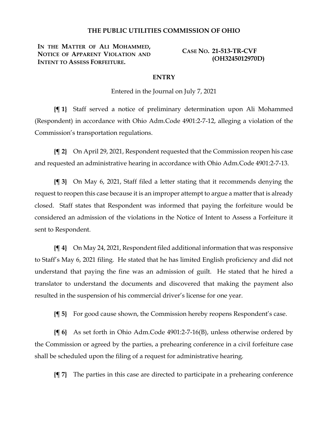## **THE PUBLIC UTILITIES COMMISSION OF OHIO**

**IN THE MATTER OF ALI MOHAMMED, NOTICE OF APPARENT VIOLATION AND INTENT TO ASSESS FORFEITURE.**

**CASE NO. 21-513-TR-CVF (OH3245012970D)**

## **ENTRY**

Entered in the Journal on July 7, 2021

**{¶ 1}** Staff served a notice of preliminary determination upon Ali Mohammed (Respondent) in accordance with Ohio Adm.Code 4901:2-7-12, alleging a violation of the Commission's transportation regulations.

**{¶ 2}** On April 29, 2021, Respondent requested that the Commission reopen his case and requested an administrative hearing in accordance with Ohio Adm.Code 4901:2-7-13.

**{¶ 3}** On May 6, 2021, Staff filed a letter stating that it recommends denying the request to reopen this case because it is an improper attempt to argue a matter that is already closed. Staff states that Respondent was informed that paying the forfeiture would be considered an admission of the violations in the Notice of Intent to Assess a Forfeiture it sent to Respondent.

**{¶ 4}** On May 24, 2021, Respondent filed additional information that was responsive to Staff's May 6, 2021 filing. He stated that he has limited English proficiency and did not understand that paying the fine was an admission of guilt. He stated that he hired a translator to understand the documents and discovered that making the payment also resulted in the suspension of his commercial driver's license for one year.

**{¶ 5}** For good cause shown, the Commission hereby reopens Respondent's case.

**{¶ 6}** As set forth in Ohio Adm.Code 4901:2-7-16(B), unless otherwise ordered by the Commission or agreed by the parties, a prehearing conference in a civil forfeiture case shall be scheduled upon the filing of a request for administrative hearing.

**{¶ 7}** The parties in this case are directed to participate in a prehearing conference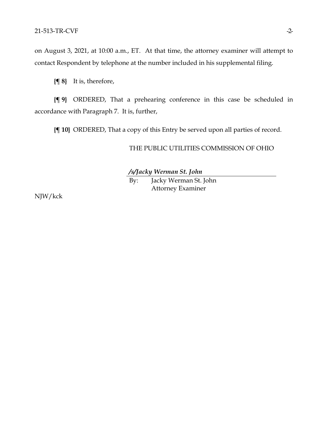on August 3, 2021, at 10:00 a.m., ET. At that time, the attorney examiner will attempt to contact Respondent by telephone at the number included in his supplemental filing.

**{¶ 8}** It is, therefore,

**{¶ 9}** ORDERED, That a prehearing conference in this case be scheduled in accordance with Paragraph 7. It is, further,

**{¶ 10}** ORDERED, That a copy of this Entry be served upon all parties of record.

THE PUBLIC UTILITIES COMMISSION OF OHIO

*/s/Jacky Werman St. John*

By: Jacky Werman St. John Attorney Examiner

NJW/kck